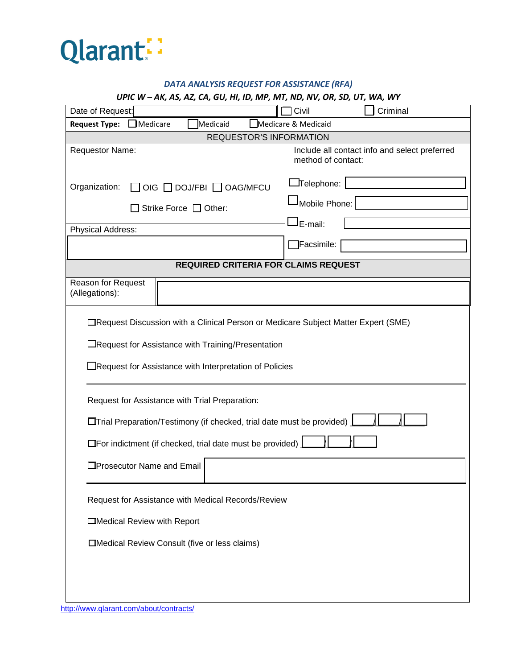

## *DATA ANALYSIS REQUEST FOR ASSISTANCE (RFA)*

### *UPIC W – AK, AS, AZ, CA, GU, HI, ID, MP, MT, ND, NV, OR, SD, UT, WA, WY*

| Date of Request:                                                                                                                                                                                   | Criminal<br>Civil                                                   |  |
|----------------------------------------------------------------------------------------------------------------------------------------------------------------------------------------------------|---------------------------------------------------------------------|--|
| $\Box$ Medicare<br>Medicare & Medicaid<br><b>Request Type:</b><br>Medicaid                                                                                                                         |                                                                     |  |
| REQUESTOR'S INFORMATION                                                                                                                                                                            |                                                                     |  |
| Requestor Name:                                                                                                                                                                                    | Include all contact info and select preferred<br>method of contact: |  |
| Organization:<br>OIG □ DOJ/FBI □ OAG/MFCU                                                                                                                                                          | $\Box$ Telephone: $ $                                               |  |
| Strike Force $\Box$ Other:                                                                                                                                                                         | Mobile Phone:                                                       |  |
| Physical Address:                                                                                                                                                                                  | <sup>J</sup> E-mail:                                                |  |
|                                                                                                                                                                                                    | Facsimile:                                                          |  |
| <b>REQUIRED CRITERIA FOR CLAIMS REQUEST</b>                                                                                                                                                        |                                                                     |  |
| Reason for Request<br>(Allegations):                                                                                                                                                               |                                                                     |  |
| □Request Discussion with a Clinical Person or Medicare Subject Matter Expert (SME)<br>□Request for Assistance with Training/Presentation<br>Request for Assistance with Interpretation of Policies |                                                                     |  |
| Request for Assistance with Trial Preparation:                                                                                                                                                     |                                                                     |  |
| <b>Thal Preparation/Testimony (if checked, trial date must be provided)</b>                                                                                                                        |                                                                     |  |
| $\Box$ For indictment (if checked, trial date must be provided) $\Box$                                                                                                                             |                                                                     |  |
| □Prosecutor Name and Email                                                                                                                                                                         |                                                                     |  |
| Request for Assistance with Medical Records/Review                                                                                                                                                 |                                                                     |  |
| Medical Review with Report                                                                                                                                                                         |                                                                     |  |
| □Medical Review Consult (five or less claims)                                                                                                                                                      |                                                                     |  |
|                                                                                                                                                                                                    |                                                                     |  |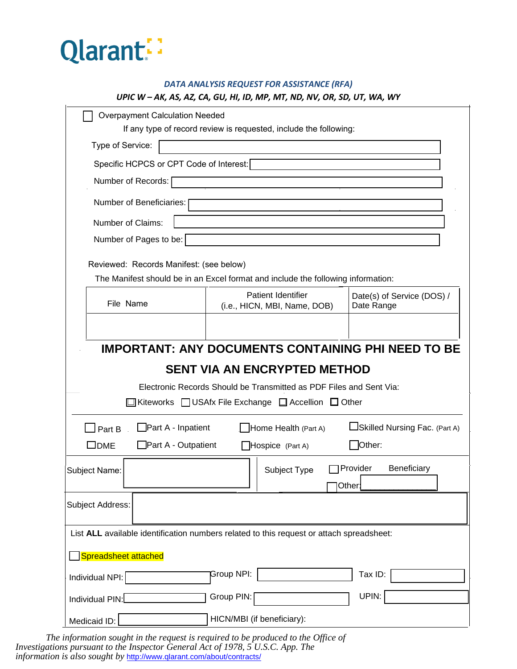

# *DATA ANALYSIS REQUEST FOR ASSISTANCE (RFA) UPIC W – AK, AS, AZ, CA, GU, HI, ID, MP, MT, ND, NV, OR, SD, UT, WA, WY*

| <b>Overpayment Calculation Needed</b>                                                                                                                                                                                            |                                                                                     | If any type of record review is requested, include the following: |                                          |  |
|----------------------------------------------------------------------------------------------------------------------------------------------------------------------------------------------------------------------------------|-------------------------------------------------------------------------------------|-------------------------------------------------------------------|------------------------------------------|--|
| Type of Service:                                                                                                                                                                                                                 |                                                                                     |                                                                   |                                          |  |
| Specific HCPCS or CPT Code of Interest:                                                                                                                                                                                          |                                                                                     |                                                                   |                                          |  |
| Number of Records:                                                                                                                                                                                                               |                                                                                     |                                                                   |                                          |  |
| Number of Beneficiaries:                                                                                                                                                                                                         |                                                                                     |                                                                   |                                          |  |
| Number of Claims:                                                                                                                                                                                                                |                                                                                     |                                                                   |                                          |  |
| Number of Pages to be:                                                                                                                                                                                                           |                                                                                     |                                                                   |                                          |  |
| Reviewed: Records Manifest: (see below)<br>The Manifest should be in an Excel format and include the following information:                                                                                                      |                                                                                     |                                                                   |                                          |  |
| File Name                                                                                                                                                                                                                        |                                                                                     | Patient Identifier<br>(i.e., HICN, MBI, Name, DOB)                | Date(s) of Service (DOS) /<br>Date Range |  |
| <b>IMPORTANT: ANY DOCUMENTS CONTAINING PHI NEED TO BE</b><br><b>SENT VIA AN ENCRYPTED METHOD</b><br>Electronic Records Should be Transmitted as PDF Files and Sent Via:<br>□ Kiteworks □ USAfx File Exchange □ Accellion □ Other |                                                                                     |                                                                   |                                          |  |
| $\Box$ Part B                                                                                                                                                                                                                    | $\Box$ Part A - Inpatient<br>□Skilled Nursing Fac. (Part A)<br>Home Health (Part A) |                                                                   |                                          |  |
| $\square$ DME<br>$\Box$ Part A - Outpatient<br>Other:<br>Hospice (Part A)                                                                                                                                                        |                                                                                     |                                                                   |                                          |  |
| Subject Name:                                                                                                                                                                                                                    |                                                                                     | Subject Type                                                      | Beneficiary<br>Provider<br>Other:        |  |
| <b>Subject Address:</b>                                                                                                                                                                                                          |                                                                                     |                                                                   |                                          |  |
| List ALL available identification numbers related to this request or attach spreadsheet:<br>Spreadsheet attached                                                                                                                 |                                                                                     |                                                                   |                                          |  |
| Individual NPI:                                                                                                                                                                                                                  | Group NPI:                                                                          |                                                                   | Tax ID:                                  |  |
| Individual PIN:                                                                                                                                                                                                                  | Group PIN:                                                                          |                                                                   | UPIN:                                    |  |
| Medicaid ID:                                                                                                                                                                                                                     |                                                                                     | HICN/MBI (if beneficiary):                                        |                                          |  |

*The information sought in the request is required to be produced to the Office of Investigations pursuant to the Inspector General Act of 1978, 5 U.S.C. App. The information is also sought by* http://www.qlarant.com/about/contracts/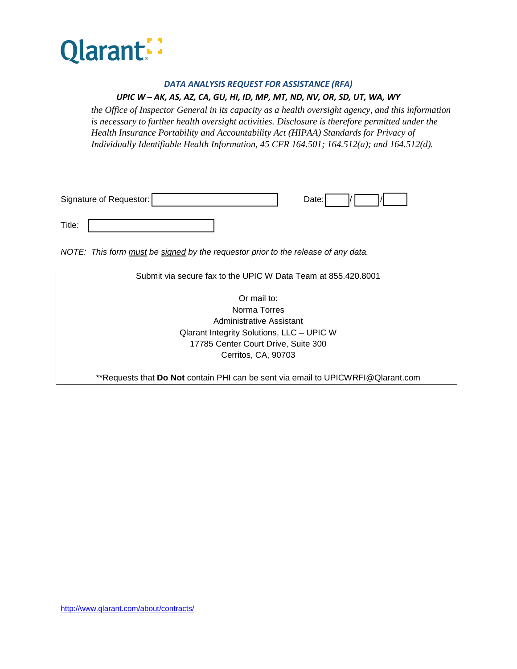

#### *DATA ANALYSIS REQUEST FOR ASSISTANCE (RFA)*

## *UPIC W – AK, AS, AZ, CA, GU, HI, ID, MP, MT, ND, NV, OR, SD, UT, WA, WY*

*the Office of Inspector General in its capacity as a health oversight agency, and this information is necessary to further health oversight activities. Disclosure is therefore permitted under the Health Insurance Portability and Accountability Act (HIPAA) Standards for Privacy of Individually Identifiable Health Information, 45 CFR 164.501; 164.512(a); and 164.512(d).* 

| Signature of Requestor: | Date: |
|-------------------------|-------|
| Title:                  |       |

*NOTE: This form must be signed by the requestor prior to the release of any data.*

| Submit via secure fax to the UPIC W Data Team at 855.420.8001                     |  |  |
|-----------------------------------------------------------------------------------|--|--|
|                                                                                   |  |  |
| Or mail to:                                                                       |  |  |
| Norma Torres                                                                      |  |  |
| Administrative Assistant                                                          |  |  |
| Qlarant Integrity Solutions, LLC - UPIC W                                         |  |  |
| 17785 Center Court Drive, Suite 300                                               |  |  |
| Cerritos, CA, 90703                                                               |  |  |
|                                                                                   |  |  |
| ** Requests that Do Not contain PHI can be sent via email to UPICWRFI@Qlarant.com |  |  |